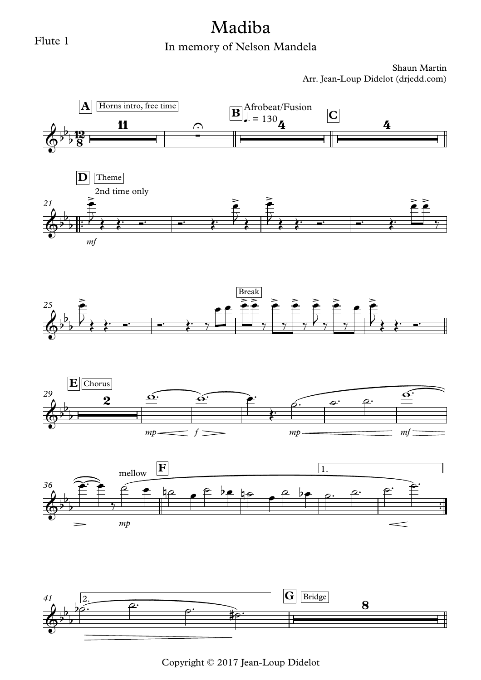#### Flute 1

# Madiba

## In memory of Nelson Mandela

Shaun Martin Arr. Jean-Loup Didelot (drjedd.com)



Copyright © 2017 Jean-Loup Didelot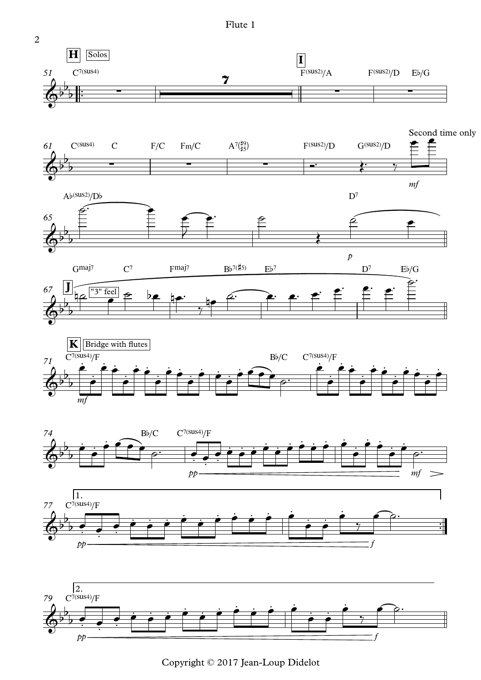Flute 1



Copyright © 2017 Jean-Loup Didelot

2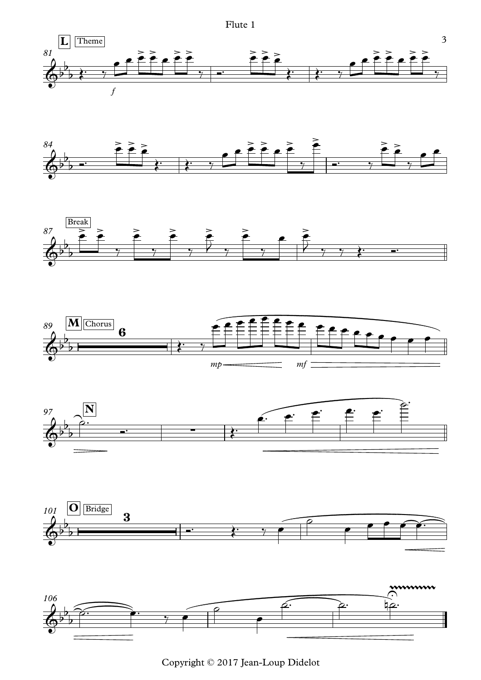Flute 1















Copyright © 2017 Jean-Loup Didelot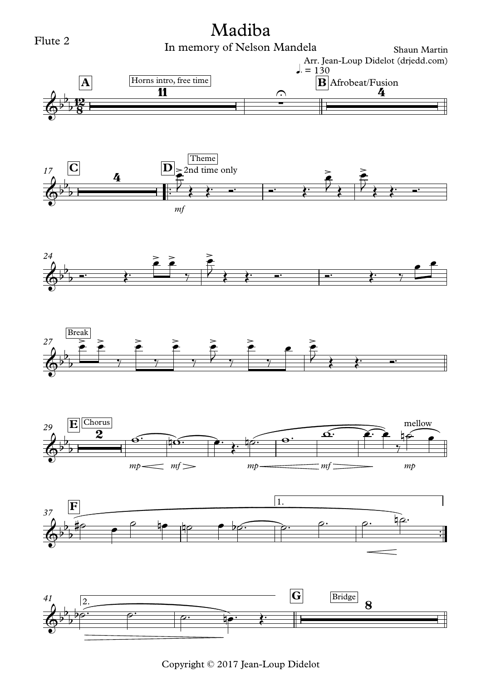

Copyright © 2017 Jean-Loup Didelot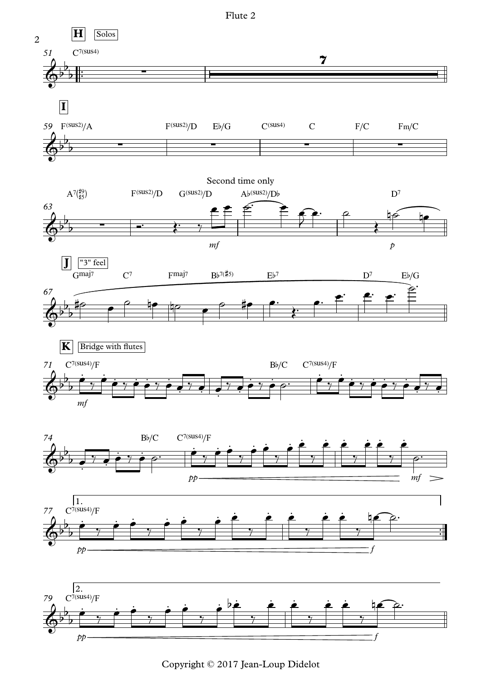

Copyright © 2017 Jean-Loup Didelot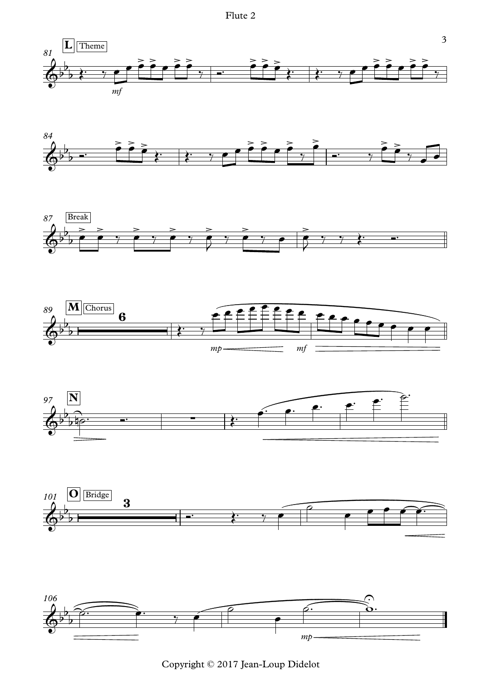![](_page_5_Figure_1.jpeg)

![](_page_5_Figure_2.jpeg)

![](_page_5_Figure_3.jpeg)

![](_page_5_Figure_4.jpeg)

![](_page_5_Figure_5.jpeg)

![](_page_5_Figure_6.jpeg)

![](_page_5_Figure_7.jpeg)

Copyright © 2017 Jean-Loup Didelot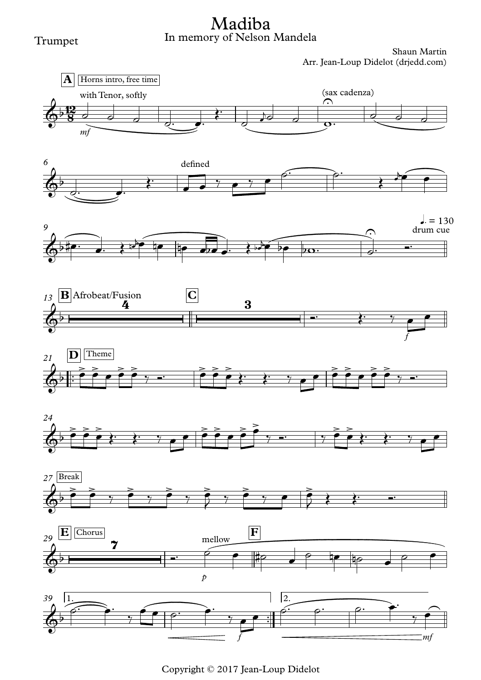#### Trumpet

## In memory of Nelson Mandela Madiba

![](_page_6_Figure_3.jpeg)

![](_page_6_Figure_4.jpeg)

![](_page_6_Figure_5.jpeg)

![](_page_6_Figure_6.jpeg)

![](_page_6_Figure_7.jpeg)

![](_page_6_Figure_8.jpeg)

![](_page_6_Figure_9.jpeg)

![](_page_6_Figure_10.jpeg)

![](_page_6_Figure_11.jpeg)

Copyright © 2017 Jean-Loup Didelot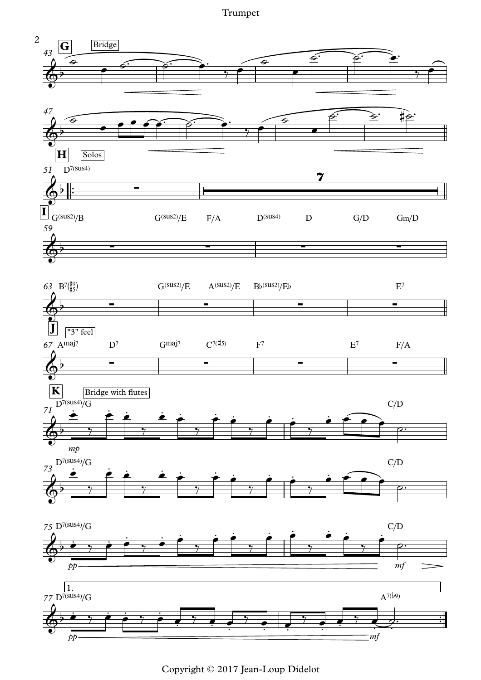Trumpet

![](_page_7_Figure_1.jpeg)

Copyright © 2017 Jean-Loup Didelot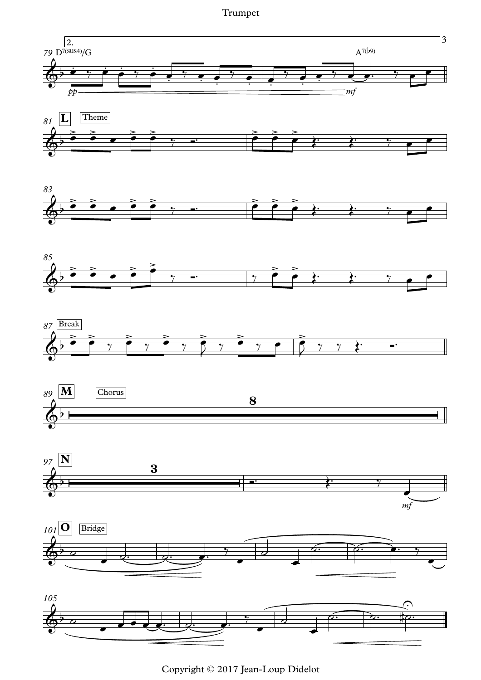Trumpet

![](_page_8_Figure_1.jpeg)

Copyright © 2017 Jean-Loup Didelot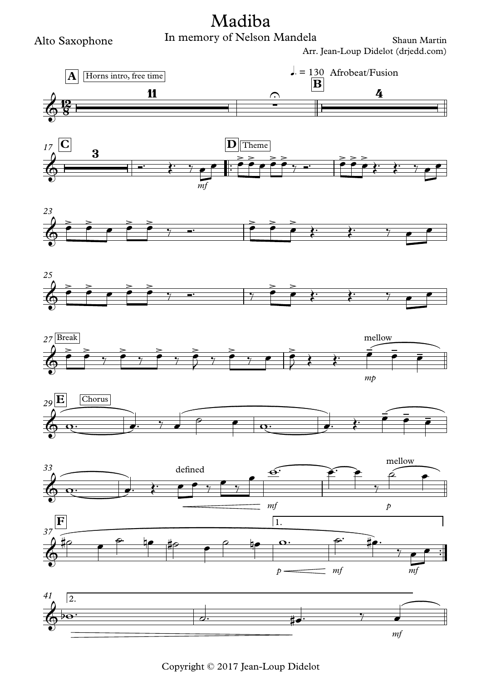![](_page_9_Figure_0.jpeg)

Alto Saxophone

![](_page_9_Figure_3.jpeg)

Copyright © 2017 Jean-Loup Didelot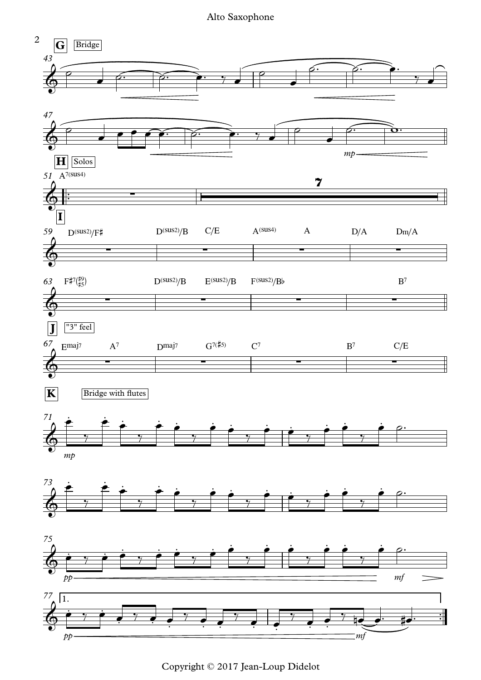Alto Saxophone

![](_page_10_Figure_1.jpeg)

Copyright © 2017 Jean-Loup Didelot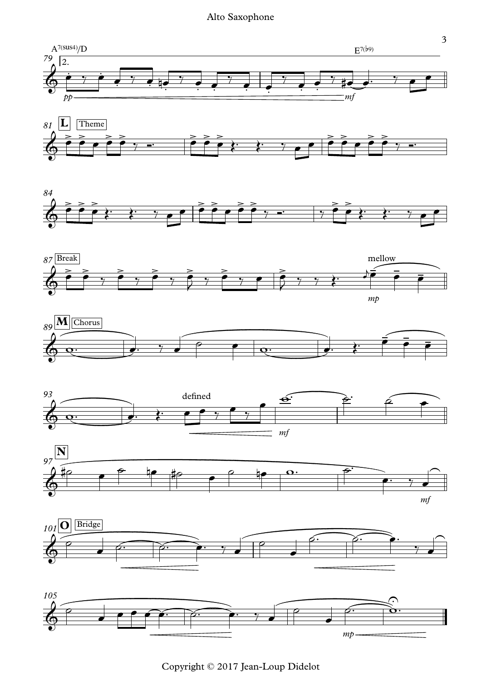#### Alto Saxophone

![](_page_11_Figure_1.jpeg)

Copyright © 2017 Jean-Loup Didelot

*mp*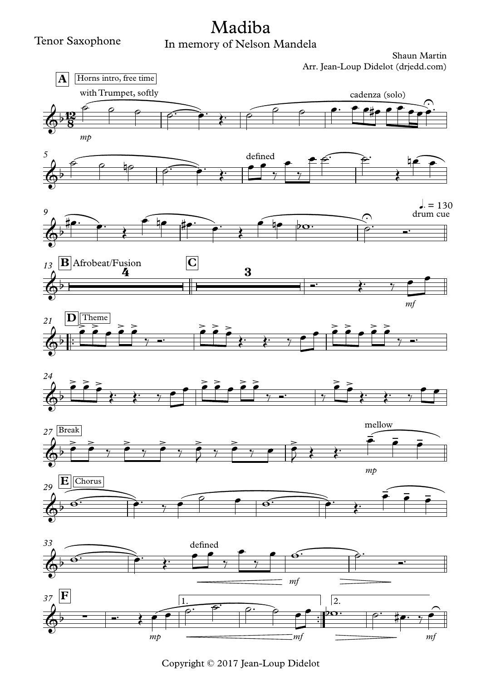## In memory of Nelson Mandela Madiba

![](_page_12_Figure_3.jpeg)

Copyright © 2017 Jean-Loup Didelot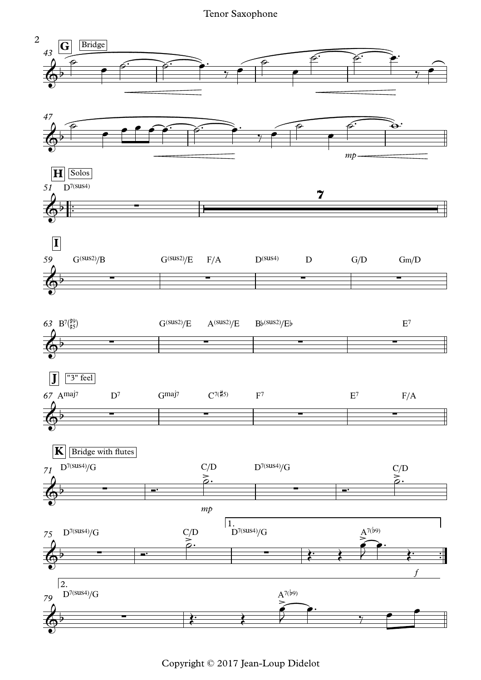Tenor Saxophone

![](_page_13_Figure_1.jpeg)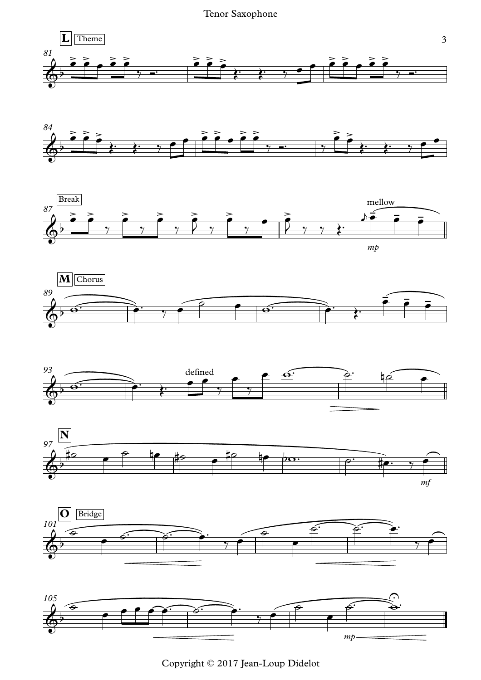Tenor Saxophone

![](_page_14_Figure_1.jpeg)

![](_page_14_Figure_2.jpeg)

![](_page_14_Figure_3.jpeg)

![](_page_14_Figure_4.jpeg)

![](_page_14_Figure_5.jpeg)

![](_page_14_Figure_6.jpeg)

![](_page_14_Figure_7.jpeg)

![](_page_14_Figure_8.jpeg)

Copyright © 2017 Jean-Loup Didelot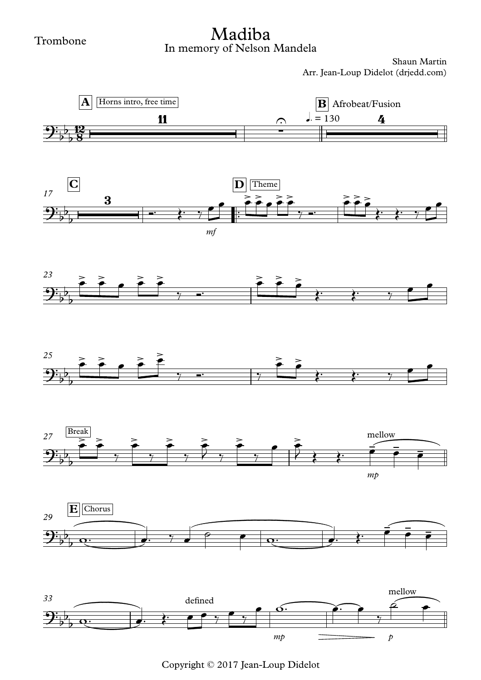## In memory of Nelson Mandela Madiba

![](_page_15_Figure_3.jpeg)

Copyright © 2017 Jean-Loup Didelot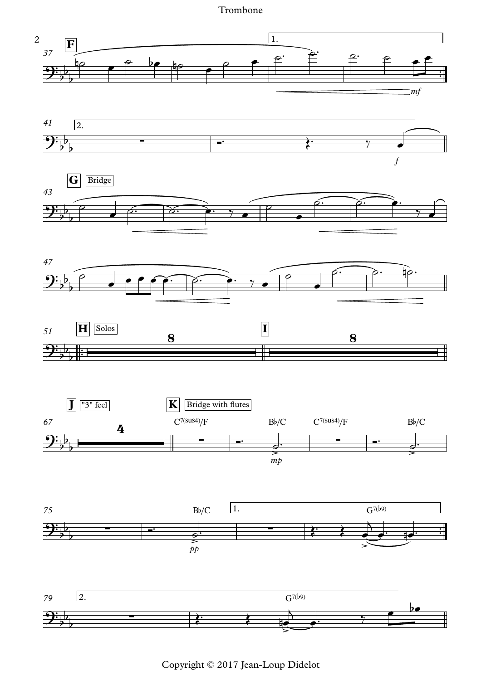Trombone

![](_page_16_Figure_1.jpeg)

Copyright © 2017 Jean-Loup Didelot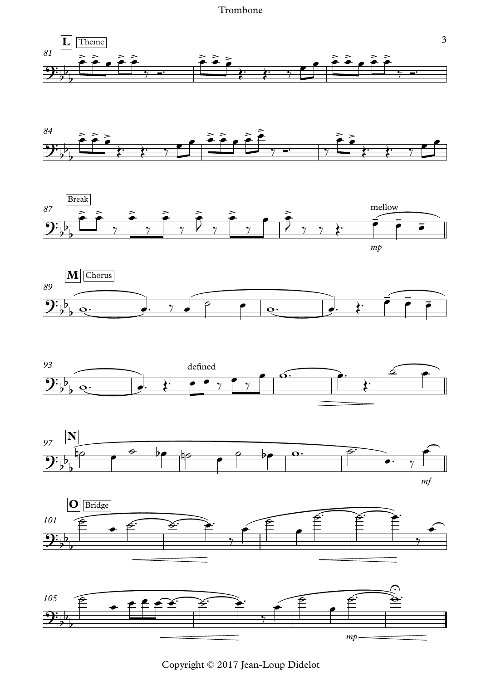#### Trombone

![](_page_17_Figure_1.jpeg)

![](_page_17_Figure_2.jpeg)

![](_page_17_Figure_3.jpeg)

![](_page_17_Figure_4.jpeg)

![](_page_17_Figure_5.jpeg)

![](_page_17_Figure_6.jpeg)

![](_page_17_Figure_7.jpeg)

![](_page_17_Figure_8.jpeg)

Copyright © 2017 Jean-Loup Didelot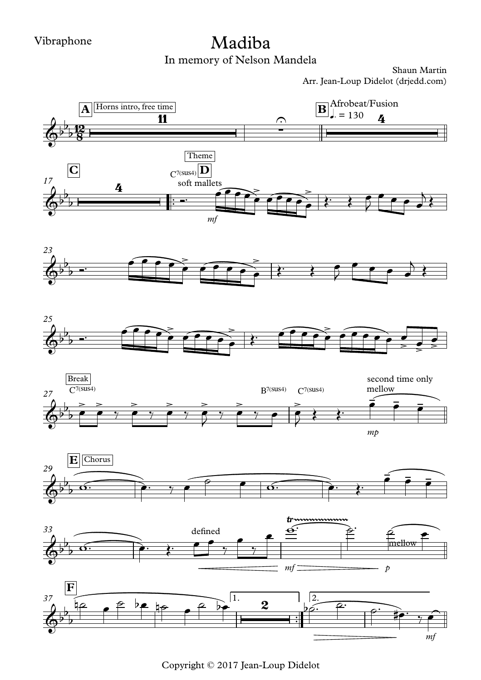## Madiba

In memory of Nelson Mandela

![](_page_18_Figure_4.jpeg)

Copyright © 2017 Jean-Loup Didelot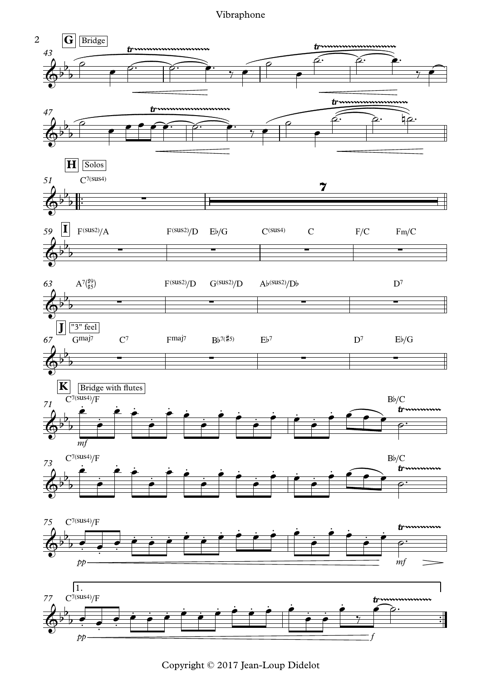Vibraphone

![](_page_19_Figure_1.jpeg)

Copyright © 2017 Jean-Loup Didelot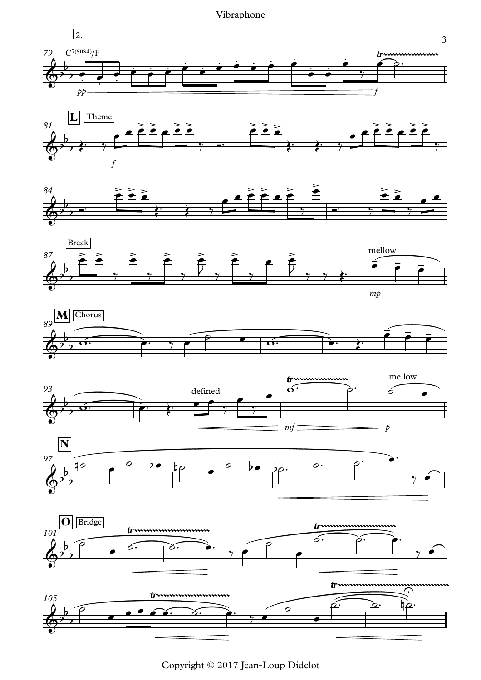Vibraphone

![](_page_20_Figure_1.jpeg)

![](_page_20_Figure_2.jpeg)

![](_page_20_Figure_3.jpeg)

![](_page_20_Figure_4.jpeg)

![](_page_20_Figure_5.jpeg)

![](_page_20_Figure_6.jpeg)

![](_page_20_Figure_7.jpeg)

![](_page_20_Figure_8.jpeg)

![](_page_20_Figure_9.jpeg)

Copyright © 2017 Jean-Loup Didelot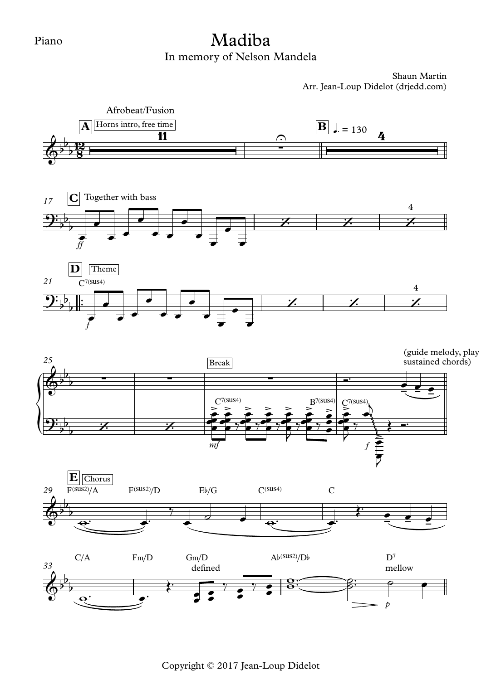## In memory of Nelson Mandela Madiba

Shaun Martin Arr. Jean-Loup Didelot (drjedd.com)

![](_page_21_Figure_3.jpeg)

Copyright © 2017 Jean-Loup Didelot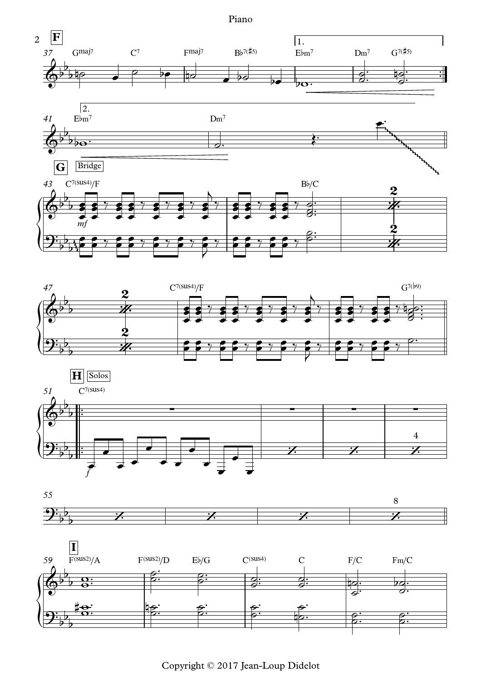Piano

![](_page_22_Figure_1.jpeg)

![](_page_22_Figure_2.jpeg)

![](_page_22_Figure_3.jpeg)

![](_page_22_Figure_4.jpeg)

![](_page_22_Figure_5.jpeg)

Copyright © 2017 Jean-Loup Didelot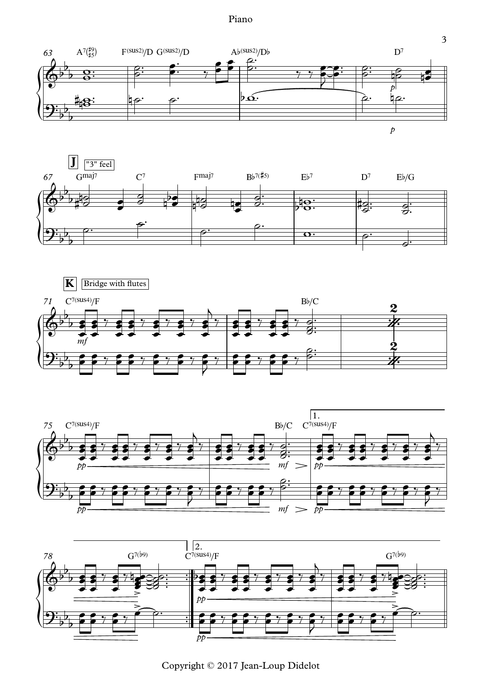Piano

![](_page_23_Figure_1.jpeg)

*p*

3

![](_page_23_Figure_3.jpeg)

![](_page_23_Figure_4.jpeg)

![](_page_23_Figure_5.jpeg)

![](_page_23_Figure_6.jpeg)

Copyright © 2017 Jean-Loup Didelot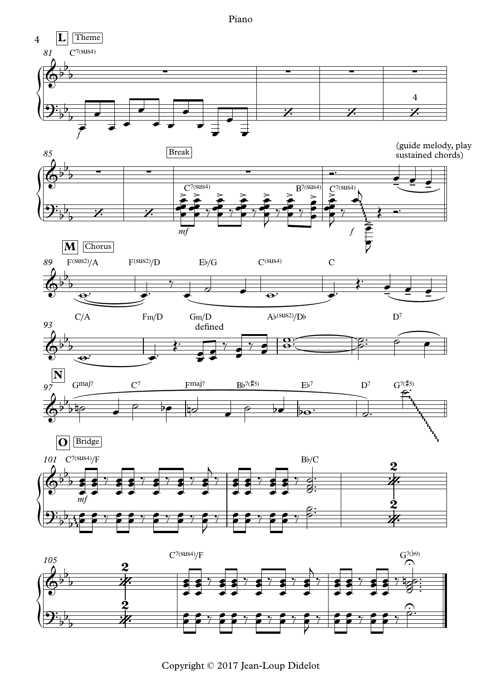Piano

![](_page_24_Figure_1.jpeg)

Copyright © 2017 Jean-Loup Didelot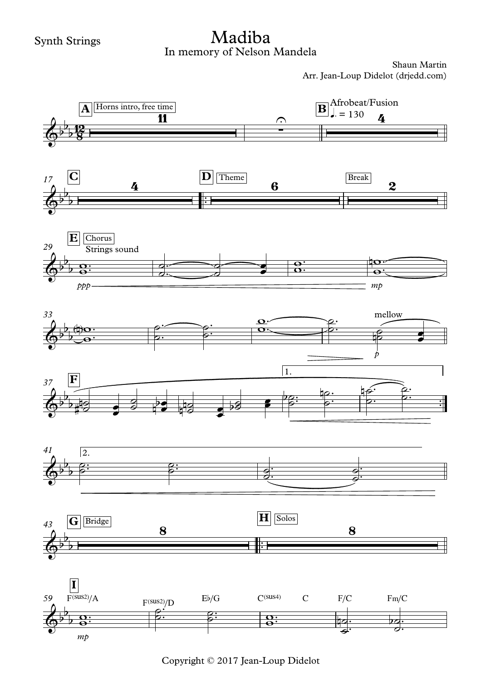## In memory of Nelson Mandela Madiba

![](_page_25_Figure_3.jpeg)

Copyright © 2017 Jean-Loup Didelot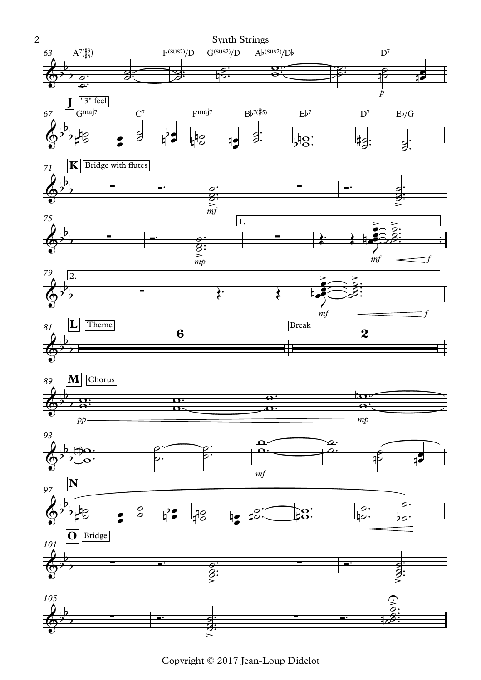![](_page_26_Figure_0.jpeg)

Copyright © 2017 Jean-Loup Didelot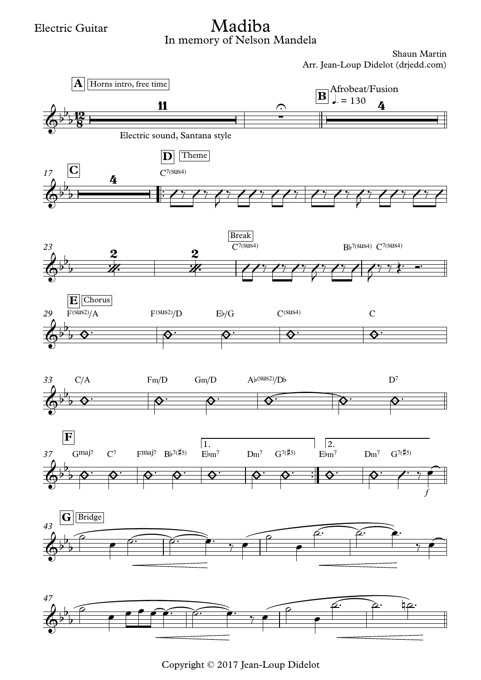## In memory of Nelson Mandela Madiba

![](_page_27_Figure_3.jpeg)

Copyright © 2017 Jean-Loup Didelot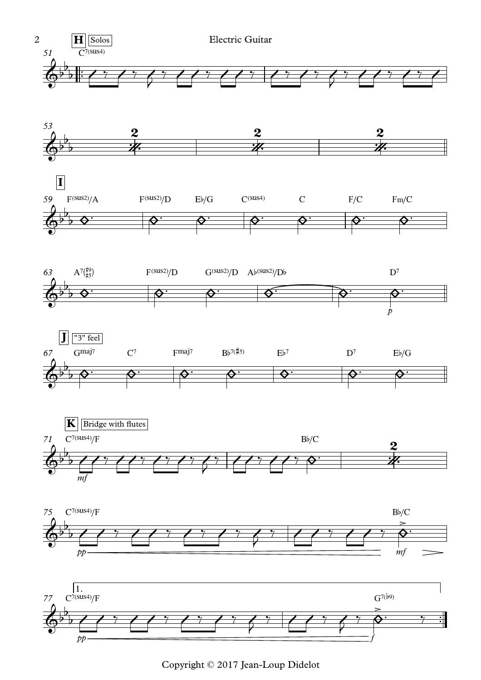![](_page_28_Figure_0.jpeg)

![](_page_28_Figure_1.jpeg)

![](_page_28_Figure_2.jpeg)

![](_page_28_Figure_3.jpeg)

![](_page_28_Figure_4.jpeg)

![](_page_28_Figure_5.jpeg)

![](_page_28_Figure_6.jpeg)

![](_page_28_Figure_7.jpeg)

Copyright © 2017 Jean-Loup Didelot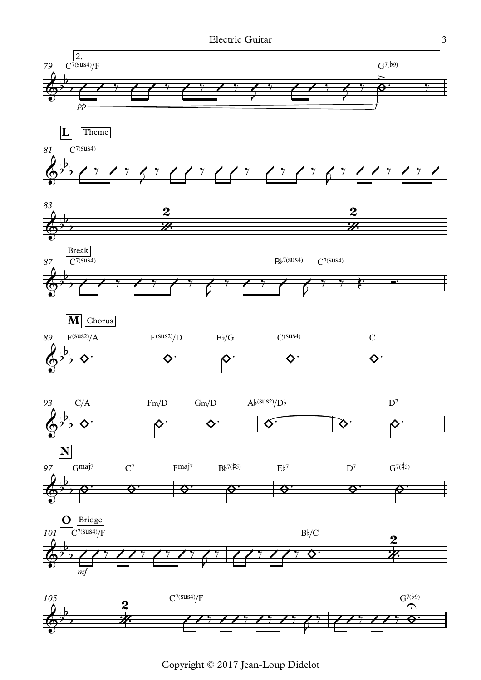![](_page_29_Figure_1.jpeg)

Copyright © 2017 Jean-Loup Didelot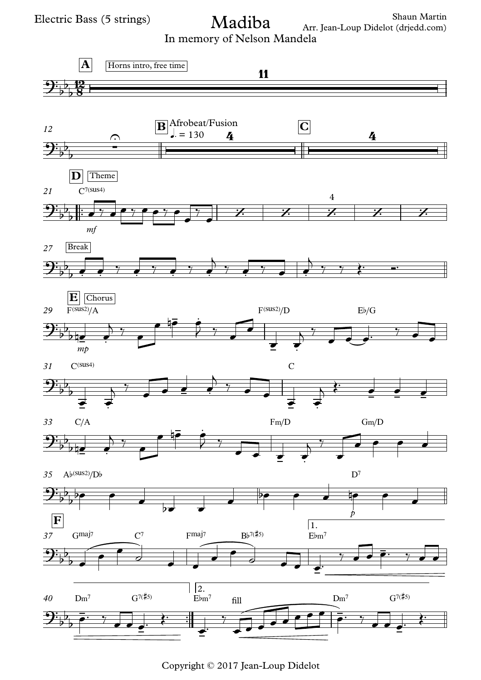Shaun Martin Arr. Jean-Loup Didelot (drjedd.com) Madiba

In memory of Nelson Mandela

![](_page_30_Figure_3.jpeg)

Copyright © 2017 Jean-Loup Didelot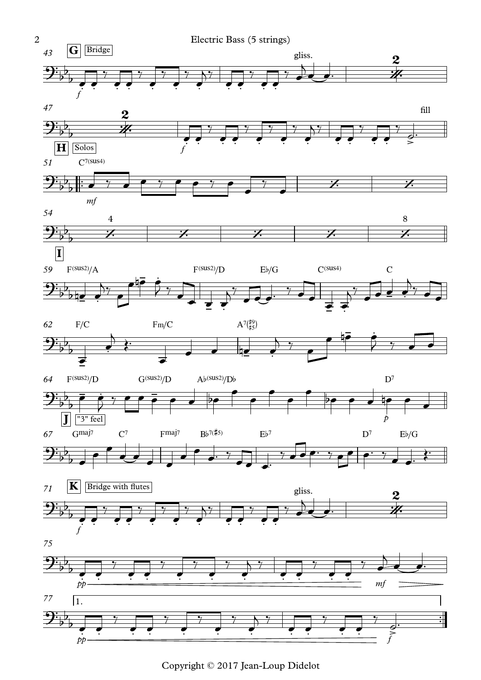![](_page_31_Figure_0.jpeg)

![](_page_31_Figure_1.jpeg)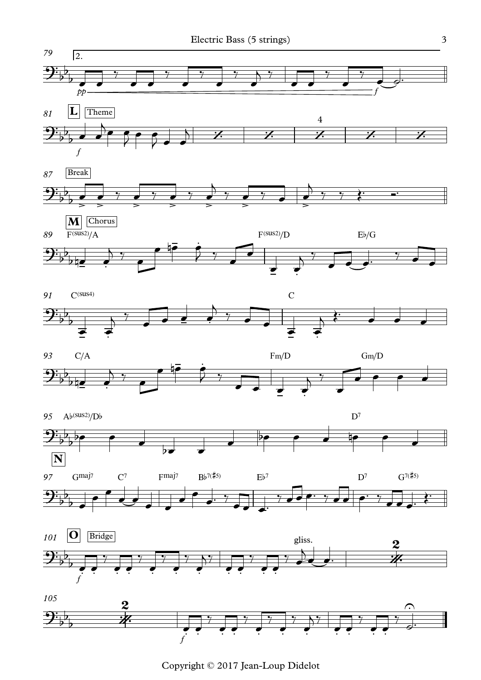![](_page_32_Figure_1.jpeg)

Copyright © 2017 Jean-Loup Didelot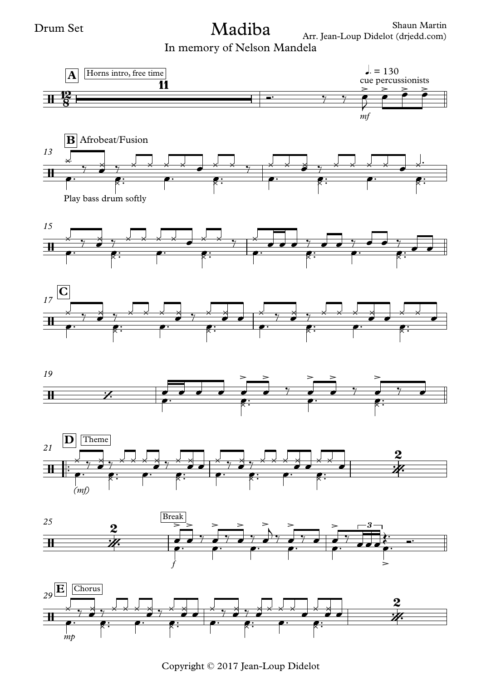## Madiba

In memory of Nelson Mandela

![](_page_33_Figure_4.jpeg)

Copyright © 2017 Jean-Loup Didelot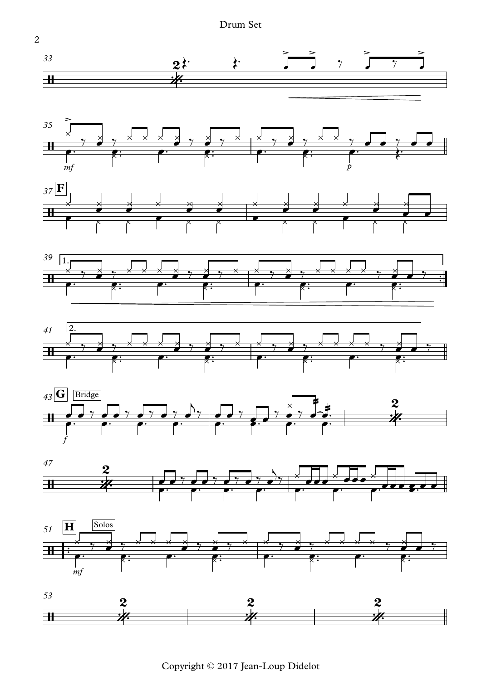![](_page_34_Figure_0.jpeg)

![](_page_34_Figure_1.jpeg)

Copyright © 2017 Jean-Loup Didelot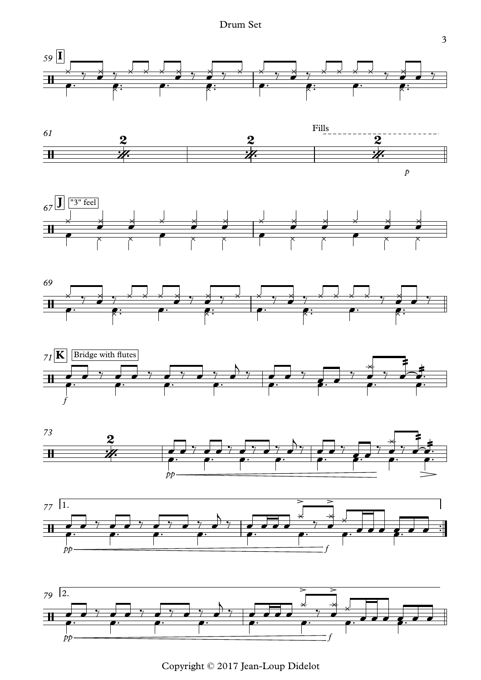Drum Set

![](_page_35_Figure_1.jpeg)

![](_page_35_Figure_2.jpeg)

![](_page_35_Figure_3.jpeg)

![](_page_35_Figure_4.jpeg)

![](_page_35_Figure_5.jpeg)

![](_page_35_Figure_6.jpeg)

![](_page_35_Figure_7.jpeg)

![](_page_35_Figure_8.jpeg)

Copyright © 2017 Jean-Loup Didelot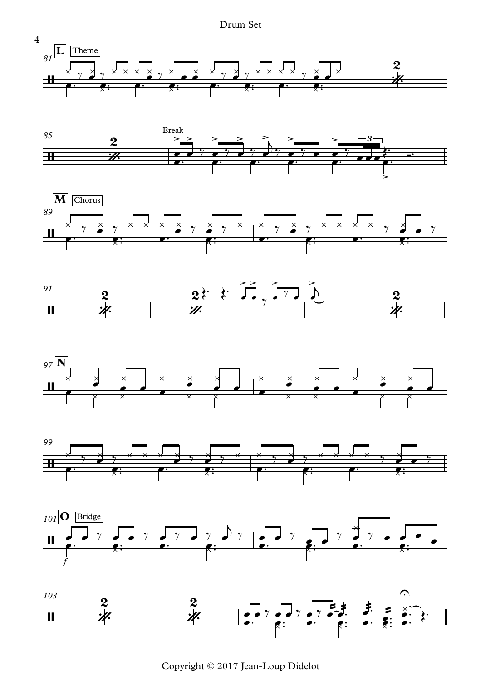Drum Set

![](_page_36_Figure_1.jpeg)

![](_page_36_Figure_2.jpeg)

![](_page_36_Figure_3.jpeg)

![](_page_36_Figure_4.jpeg)

![](_page_36_Figure_5.jpeg)

![](_page_36_Figure_6.jpeg)

![](_page_36_Figure_7.jpeg)

![](_page_36_Figure_8.jpeg)

Copyright © 2017 Jean-Loup Didelot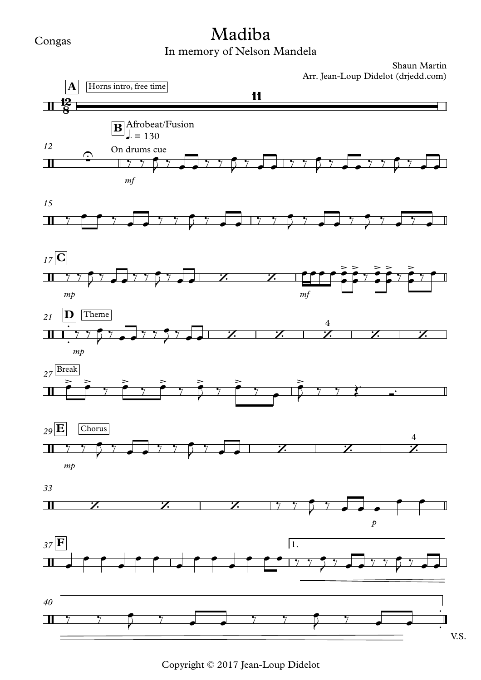#### Congas

# Madiba

### In memory of Nelson Mandela

![](_page_37_Figure_4.jpeg)

Copyright © 2017 Jean-Loup Didelot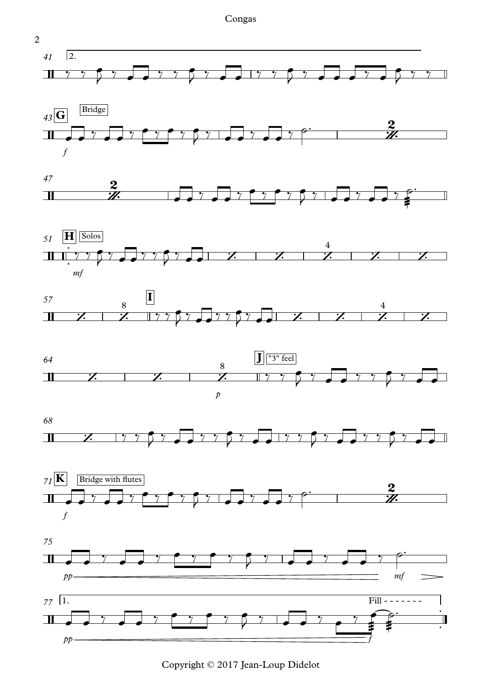Congas

![](_page_38_Figure_1.jpeg)

![](_page_38_Figure_2.jpeg)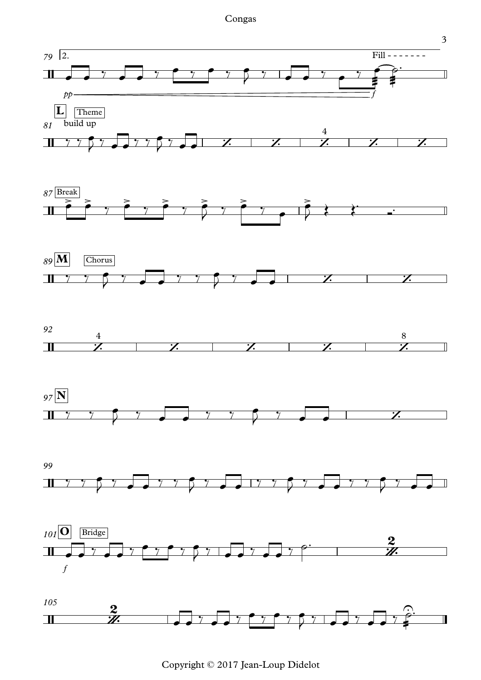![](_page_39_Figure_1.jpeg)

![](_page_39_Figure_2.jpeg)

![](_page_39_Figure_3.jpeg)

![](_page_39_Figure_4.jpeg)

![](_page_39_Figure_5.jpeg)

![](_page_39_Figure_6.jpeg)

Copyright © 2017 Jean-Loup Didelot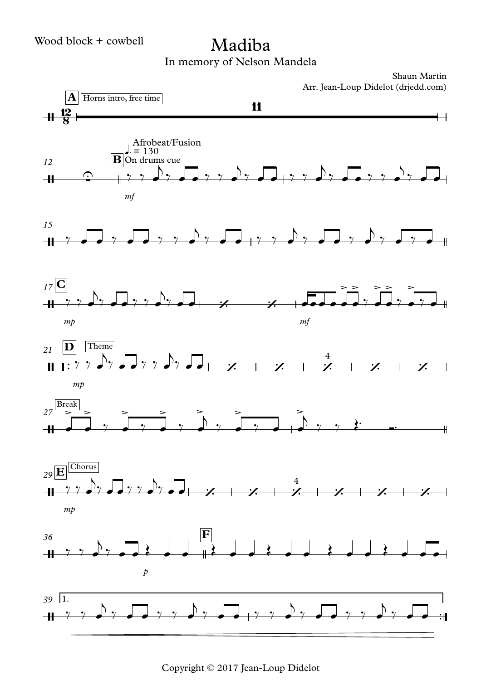## Madiba

In memory of Nelson Mandela

Shaun Martin Arr. Jean-Loup Didelot (drjedd.com)

![](_page_40_Figure_4.jpeg)

Copyright © 2017 Jean-Loup Didelot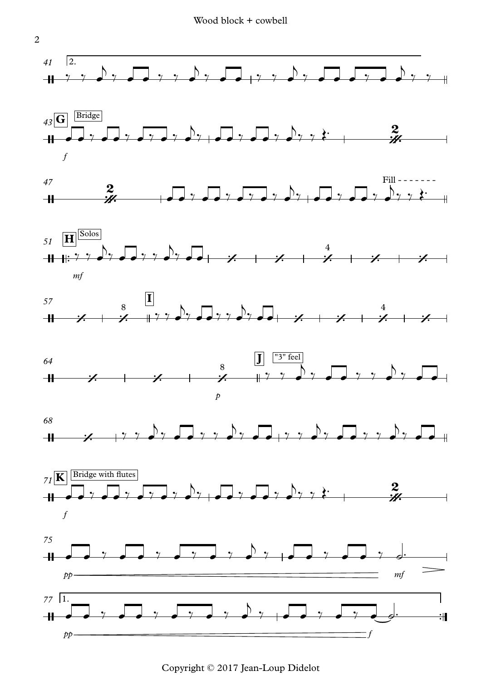![](_page_41_Figure_1.jpeg)

Copyright © 2017 Jean-Loup Didelot